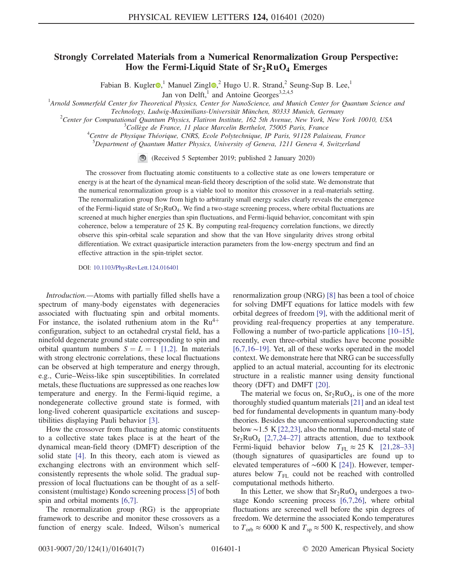## Strongly Correlated Materials from a Numerical Renormalization Group Perspective: How the Fermi-Liquid State of  $Sr<sub>2</sub>RuO<sub>4</sub>$  Emerges

Fabian B. Kugler $\mathbf{O}$ ,<sup>1</sup> Manuel Zingl $\mathbf{O}$ ,<sup>2</sup> Hugo U. R. Strand,<sup>2</sup> Seung-Sup B. Lee,<sup>1</sup>

Jan von Delft, $\overline{1}$  and Antoine Georges<sup>3,2,4,5</sup>

<sup>1</sup>Arnold Sommerfeld Center for Theoretical Physics, Center for NanoScience, and Munich Center for Quantum Science and

<sup>2</sup>Center for Computational Quantum Physics, Flatiron Institute, 162 5th Avenue, New York, New York 10010, USA

 $^3$ Collège de France, 11 place Marcelin Berthelot, 75005 Paris, France

<sup>4</sup>Centre de Physique Théorique, CNRS, Ecole Polytechnique, IP Paris, 91128 Palaiseau, France

<sup>5</sup>Department of Quantum Matter Physics, University of Geneva, 1211 Geneva 4, Switzerland

(Received 5 September 2019; published 2 January 2020)

The crossover from fluctuating atomic constituents to a collective state as one lowers temperature or energy is at the heart of the dynamical mean-field theory description of the solid state. We demonstrate that the numerical renormalization group is a viable tool to monitor this crossover in a real-materials setting. The renormalization group flow from high to arbitrarily small energy scales clearly reveals the emergence of the Fermi-liquid state of  $Sr_2RuO<sub>4</sub>$ . We find a two-stage screening process, where orbital fluctuations are screened at much higher energies than spin fluctuations, and Fermi-liquid behavior, concomitant with spin coherence, below a temperature of 25 K. By computing real-frequency correlation functions, we directly observe this spin-orbital scale separation and show that the van Hove singularity drives strong orbital differentiation. We extract quasiparticle interaction parameters from the low-energy spectrum and find an effective attraction in the spin-triplet sector.

DOI: [10.1103/PhysRevLett.124.016401](https://doi.org/10.1103/PhysRevLett.124.016401)

Introduction.—Atoms with partially filled shells have a spectrum of many-body eigenstates with degeneracies associated with fluctuating spin and orbital moments. For instance, the isolated ruthenium atom in the  $Ru^{4+}$ configuration, subject to an octahedral crystal field, has a ninefold degenerate ground state corresponding to spin and orbital quantum numbers  $S = L = 1$  [\[1,2\].](#page-4-0) In materials with strong electronic correlations, these local fluctuations can be observed at high temperature and energy through, e.g., Curie–Weiss-like spin susceptibilities. In correlated metals, these fluctuations are suppressed as one reaches low temperature and energy. In the Fermi-liquid regime, a nondegenerate collective ground state is formed, with long-lived coherent quasiparticle excitations and susceptibilities displaying Pauli behavior [\[3\]](#page-4-1).

How the crossover from fluctuating atomic constituents to a collective state takes place is at the heart of the dynamical mean-field theory (DMFT) description of the solid state [\[4\].](#page-4-2) In this theory, each atom is viewed as exchanging electrons with an environment which selfconsistently represents the whole solid. The gradual suppression of local fluctuations can be thought of as a selfconsistent (multistage) Kondo screening process [\[5\]](#page-4-3) of both spin and orbital moments [\[6,7\]](#page-4-4).

The renormalization group (RG) is the appropriate framework to describe and monitor these crossovers as a function of energy scale. Indeed, Wilson's numerical renormalization group (NRG) [\[8\]](#page-4-5) has been a tool of choice for solving DMFT equations for lattice models with few orbital degrees of freedom [\[9\],](#page-4-6) with the additional merit of providing real-frequency properties at any temperature. Following a number of two-particle applications [\[10](#page-4-7)–15], recently, even three-orbital studies have become possible [\[6,7,16](#page-4-4)–19]. Yet, all of these works operated in the model context. We demonstrate here that NRG can be successfully applied to an actual material, accounting for its electronic structure in a realistic manner using density functional theory (DFT) and DMFT [\[20\].](#page-4-8)

The material we focus on,  $Sr<sub>2</sub>RuO<sub>4</sub>$ , is one of the more thoroughly studied quantum materials [\[21\]](#page-4-9) and an ideal test bed for fundamental developments in quantum many-body theories. Besides the unconventional superconducting state below ∼1.5 K [\[22,23\]](#page-4-10), also the normal, Hund-metal state of  $Sr<sub>2</sub>RuO<sub>4</sub>$  [\[2,7,24](#page-4-11)–27] attracts attention, due to textbook Fermi-liquid behavior below  $T_{FL} \approx 25 \text{ K}$  [\[21,28](#page-4-9)–33] (though signatures of quasiparticles are found up to elevated temperatures of ∼600 K [\[24\]\)](#page-4-12). However, temperatures below  $T_{\text{FL}}$  could not be reached with controlled computational methods hitherto.

In this Letter, we show that  $Sr<sub>2</sub>RuO<sub>4</sub>$  undergoes a twostage Kondo screening process [\[6,7,26\],](#page-4-4) where orbital fluctuations are screened well before the spin degrees of freedom. We determine the associated Kondo temperatures to  $T_{\rm orb} \approx 6000$  K and  $T_{\rm sp} \approx 500$  K, respectively, and show

Technology, Ludwig-Maximilians-Universität München, 80333 Munich, Germany <sup>2</sup>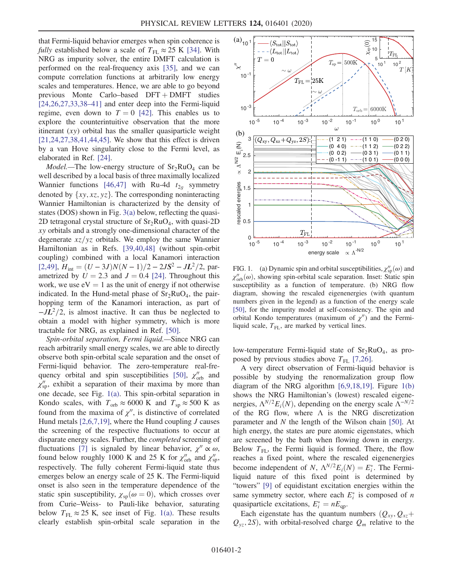that Fermi-liquid behavior emerges when spin coherence is fully established below a scale of  $T_{FL} \approx 25$  K [\[34\].](#page-5-0) With NRG as impurity solver, the entire DMFT calculation is performed on the real-frequency axis [\[35\],](#page-5-1) and we can compute correlation functions at arbitrarily low energy scales and temperatures. Hence, we are able to go beyond previous Monte Carlo–based  $DFT + DMFT$  studies [\[24,26,27,33,38](#page-4-12)–41] and enter deep into the Fermi-liquid regime, even down to  $T = 0$  [\[42\].](#page-5-2) This enables us to explore the counterintuitive observation that the more itinerant  $(xy)$  orbital has the smaller quasiparticle weight [\[21,24,27,38,41,44,45\].](#page-4-9) We show that this effect is driven by a van Hove singularity close to the Fermi level, as elaborated in Ref. [\[24\]](#page-4-12).

*Model.*—The low-energy structure of  $Sr<sub>2</sub>RuO<sub>4</sub>$  can be well described by a local basis of three maximally localized Wannier functions [\[46,47\]](#page-5-3) with Ru-4d  $t_{2q}$  symmetry denoted by  $\{xy, xz, yz\}$ . The corresponding noninteracting Wannier Hamiltonian is characterized by the density of states (DOS) shown in Fig. [3\(a\)](#page-2-0) below, reflecting the quasi-2D tetragonal crystal structure of  $Sr<sub>2</sub>RuO<sub>4</sub>$ , with quasi-2D xy orbitals and a strongly one-dimensional character of the degenerate  $xz/yz$  orbitals. We employ the same Wannier Hamiltonian as in Refs. [\[39,40,48\]](#page-5-4) (without spin-orbit coupling) combined with a local Kanamori interaction [\[2,49\]](#page-4-11),  $H_{int} = (U - 3J)N(N - 1)/2 - 2JS^2 - JL^2/2$ , parametrized by  $U = 2.3$  and  $J = 0.4$  [\[24\]](#page-4-12). Throughout this work, we use  $eV = 1$  as the unit of energy if not otherwise indicated. In the Hund-metal phase of  $Sr<sub>2</sub>RuO<sub>4</sub>$ , the pairhopping term of the Kanamori interaction, as part of  $-JL^2/2$ , is almost inactive. It can thus be neglected to obtain a model with higher symmetry, which is more tractable for NRG, as explained in Ref. [\[50\].](#page-5-5)

Spin-orbital separation, Fermi liquid.—Since NRG can reach arbitrarily small energy scales, we are able to directly observe both spin-orbital scale separation and the onset of Fermi-liquid behavior. The zero-temperature real-fre-quency orbital and spin susceptibilities [\[50\]](#page-5-5),  $\chi_{orb}^{\prime\prime}$  and  $\chi''_{\rm sp}$ , exhibit a separation of their maxima by more than one decade, see Fig. [1\(a\)](#page-1-0). This spin-orbital separation in Kondo scales, with  $T_{\text{orb}} \approx 6000 \text{ K}$  and  $T_{\text{sp}} \approx 500 \text{ K}$  as found from the maxima of  $\chi''$ , is distinctive of correlated Hund metals  $[2,6,7,19]$ , where the Hund coupling J causes the screening of the respective fluctuations to occur at disparate energy scales. Further, the completed screening of fluctuations [\[7\]](#page-4-13) is signaled by linear behavior,  $\chi'' \propto \omega$ , found below roughly 1000 K and 25 K for  $\chi_{orb}''$  and  $\chi_{sp}'$ , respectively. The fully coherent Fermi-liquid state thus emerges below an energy scale of 25 K. The Fermi-liquid onset is also seen in the temperature dependence of the static spin susceptibility,  $\chi_{\rm{sp}}(\omega = 0)$ , which crosses over from Curie–Weiss- to Pauli-like behavior, saturating below  $T_{\text{FL}} \approx 25$  K, see inset of Fig. [1\(a\).](#page-1-0) These results clearly establish spin-orbital scale separation in the

<span id="page-1-0"></span>

FIG. 1. (a) Dynamic spin and orbital susceptibilities,  $\chi''_{sp}(\omega)$  and  $\chi''(\omega)$  showing spin-orbital scale separation. Inset: Static spin  $\chi_{\text{orb}}^{\prime\prime}(\omega)$ , showing spin-orbital scale separation. Inset: Static spin<br>susceptibility as a function of temperature (b) NRG flow susceptibility as a function of temperature. (b) NRG flow diagram, showing the rescaled eigenenergies (with quantum numbers given in the legend) as a function of the energy scale [\[50\],](#page-5-5) for the impurity model at self-consistency. The spin and orbital Kondo temperatures (maximum of  $\chi''$ ) and the Fermiliquid scale,  $T_{FL}$ , are marked by vertical lines.

low-temperature Fermi-liquid state of  $Sr<sub>2</sub>RuO<sub>4</sub>$ , as proposed by previous studies above  $T_{FL}$  [\[7,26\].](#page-4-13)

A very direct observation of Fermi-liquid behavior is possible by studying the renormalization group flow diagram of the NRG algorithm  $[6,9,18,19]$ . Figure [1\(b\)](#page-1-0) shows the NRG Hamiltonian's (lowest) rescaled eigenenergies,  $\Lambda^{N/2}E_i(N)$ , depending on the energy scale  $\Lambda^{-N/2}$ of the RG flow, where Λ is the NRG discretization parameter and  $N$  the length of the Wilson chain [\[50\]](#page-5-5). At high energy, the states are pure atomic eigenstates, which are screened by the bath when flowing down in energy. Below  $T_{\text{FI}}$ , the Fermi liquid is formed. There, the flow reaches a fixed point, where the rescaled eigenenergies become independent of N,  $\Lambda^{N/2} E_i(N) = E_i^*$ . The Fermi-<br>liquid nature of this fixed point is determined by liquid nature of this fixed point is determined by "towers" [\[9\]](#page-4-6) of equidistant excitation energies within the same symmetry sector, where each  $E_i^*$  is composed of *n* quasiparticle excitations  $F^* = nF$ quasiparticle excitations,  $E_i^* = nE_{qp}$ .<br>Each eigenstate has the quantum

Each eigenstate has the quantum numbers  $(Q_{xy}, Q_{xz}+)$  $Q_{yz}$ , 2S), with orbital-resolved charge  $Q_m$  relative to the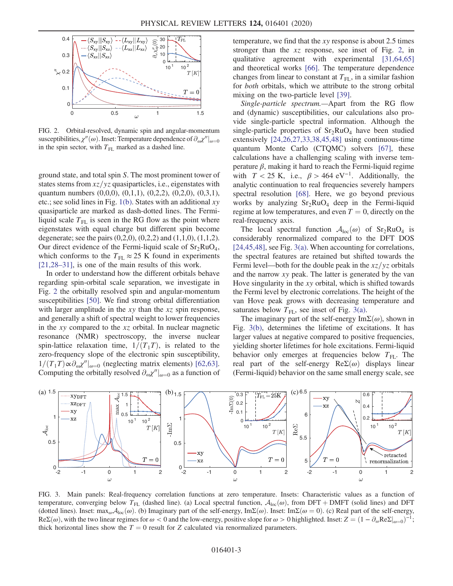<span id="page-2-1"></span>

FIG. 2. Orbital-resolved, dynamic spin and angular-momentum susceptibilities,  $\chi''(\omega)$ . Inset: Temperature dependence of  $\partial_{\omega} \chi''|_{\omega=0}$ in the spin sector, with  $T_{FL}$  marked as a dashed line.

ground state, and total spin S. The most prominent tower of states stems from  $xz/yz$  quasiparticles, i.e., eigenstates with quantum numbers  $(0,0,0)$ ,  $(0,1,1)$ ,  $(0,2,2)$ ,  $(0,2,0)$ ,  $(0,3,1)$ , etc.; see solid lines in Fig.  $1(b)$ . States with an additional xy quasiparticle are marked as dash-dotted lines. The Fermiliquid scale  $T_{FL}$  is seen in the RG flow as the point where eigenstates with equal charge but different spin become degenerate; see the pairs  $(0,2,0)$ ,  $(0,2,2)$  and  $(1,1,0)$ ,  $(1,1,2)$ . Our direct evidence of the Fermi-liquid scale of  $Sr<sub>2</sub>RuO<sub>4</sub>$ , which conforms to the  $T_{\text{FL}} \approx 25$  K found in experiments [\[21,28](#page-4-9)–31], is one of the main results of this work.

In order to understand how the different orbitals behave regarding spin-orbital scale separation, we investigate in Fig. [2](#page-2-1) the orbitally resolved spin and angular-momentum susceptibilities [\[50\]](#page-5-5). We find strong orbital differentiation with larger amplitude in the  $xy$  than the  $xz$  spin response, and generally a shift of spectral weight to lower frequencies in the xy compared to the  $xz$  orbital. In nuclear magnetic resonance (NMR) spectroscopy, the inverse nuclear spin-lattice relaxation time,  $1/(T<sub>1</sub>T)$ , is related to the zero-frequency slope of the electronic spin susceptibility,  $1/(T_1T)\propto \partial_{\omega}x^{\prime\prime}|_{\omega=0}$  (neglecting matrix elements) [\[62,63\]](#page-5-6). Computing the orbitally resolved  $\partial_{\omega} \chi''|_{\omega=0}$  as a function of temperature, we find that the xy response is about 2.5 times stronger than the  $xz$  response, see inset of Fig. [2,](#page-2-1) in qualitative agreement with experimental [\[31,64,65\]](#page-5-7) and theoretical works [\[66\].](#page-5-8) The temperature dependence changes from linear to constant at  $T_{FL}$ , in a similar fashion for both orbitals, which we attribute to the strong orbital mixing on the two-particle level [\[39\].](#page-5-4)

Single-particle spectrum.—Apart from the RG flow and (dynamic) susceptibilities, our calculations also provide single-particle spectral information. Although the single-particle properties of  $Sr<sub>2</sub>RuO<sub>4</sub>$  have been studied extensively [\[24,26,27,33,38,45,48\]](#page-4-12) using continuous-time quantum Monte Carlo (CTQMC) solvers [\[67\],](#page-5-9) these calculations have a challenging scaling with inverse temperature β, making it hard to reach the Fermi-liquid regime with  $T < 25$  K, i.e.,  $\beta > 464$  eV<sup>-1</sup>. Additionally, the analytic continuation to real frequencies severely hampers spectral resolution [\[68\]](#page-5-10). Here, we go beyond previous works by analyzing  $Sr<sub>2</sub>RuO<sub>4</sub>$  deep in the Fermi-liquid regime at low temperatures, and even  $T = 0$ , directly on the real-frequency axis.

The local spectral function  $A_{loc}(\omega)$  of Sr<sub>2</sub>RuO<sub>4</sub> is considerably renormalized compared to the DFT DOS [\[24,45,48\]](#page-4-12), see Fig. [3\(a\)](#page-2-0). When accounting for correlations, the spectral features are retained but shifted towards the Fermi level—both for the double peak in the  $xz/yz$  orbitals and the narrow xy peak. The latter is generated by the van Hove singularity in the xy orbital, which is shifted towards the Fermi level by electronic correlations. The height of the van Hove peak grows with decreasing temperature and saturates below  $T_{\text{FI}}$ , see inset of Fig. [3\(a\)](#page-2-0).

The imaginary part of the self-energy  $\text{Im}\Sigma(\omega)$ , shown in Fig. [3\(b\)](#page-2-0), determines the lifetime of excitations. It has larger values at negative compared to positive frequencies, yielding shorter lifetimes for hole excitations. Fermi-liquid behavior only emerges at frequencies below  $T_{\text{FL}}$ . The real part of the self-energy  $\text{Re}\Sigma(\omega)$  displays linear (Fermi-liquid) behavior on the same small energy scale, see

<span id="page-2-0"></span>

FIG. 3. Main panels: Real-frequency correlation functions at zero temperature. Insets: Characteristic values as a function of temperature, converging below  $T_{FL}$  (dashed line). (a) Local spectral function,  $A_{loc}(\omega)$ , from DFT + DMFT (solid lines) and DFT (dotted lines). Inset: max<sub>ω</sub> $\mathcal{A}_{loc}(\omega)$ . (b) Imaginary part of the self-energy, ImΣ( $\omega$ ). Inset: ImΣ( $\omega = 0$ ). (c) Real part of the self-energy,  $\text{Re}\Sigma(\omega)$ , with the two linear regimes for  $\omega < 0$  and the low-energy, positive slope for  $\omega > 0$  highlighted. Inset:  $Z = (1 - \partial_{\omega} \text{Re}\Sigma|_{\omega=0})^{-1}$ ; thick horizontal lines show the  $T = 0$  result for Z calculated via renormalized parameters.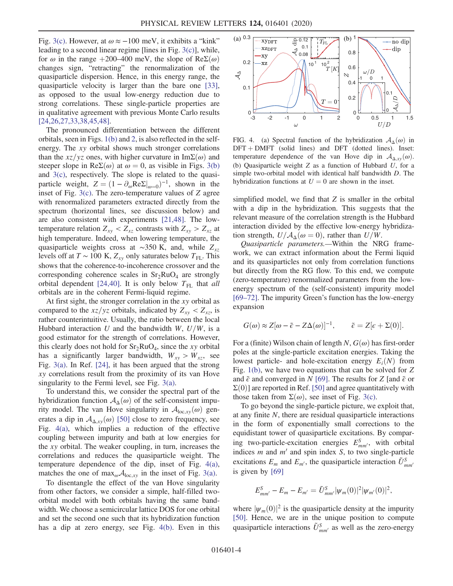Fig. [3\(c\)](#page-2-0). However, at  $\omega \approx -100$  meV, it exhibits a "kink" leading to a second linear regime [lines in Fig. [3\(c\)\]](#page-2-0), while, for  $\omega$  in the range +200–400 meV, the slope of Re $\Sigma(\omega)$ changes sign, "retracting" the renormalization of the quasiparticle dispersion. Hence, in this energy range, the quasiparticle velocity is larger than the bare one [\[33\]](#page-5-11), as opposed to the usual low-energy reduction due to strong correlations. These single-particle properties are in qualitative agreement with previous Monte Carlo results [\[24,26,27,33,38,45,48\].](#page-4-12)

The pronounced differentiation between the different orbitals, seen in Figs. [1\(b\)](#page-1-0) and [2](#page-2-1), is also reflected in the selfenergy. The xy orbital shows much stronger correlations than the  $xz/yz$  ones, with higher curvature in Im $\Sigma(\omega)$  and steeper slope in Re $\Sigma(\omega)$  at  $\omega = 0$ , as visible in Figs. [3\(b\)](#page-2-0) and [3\(c\)](#page-2-0), respectively. The slope is related to the quasiparticle weight,  $Z = (1 - \partial_{\omega} \text{Re} \Sigma |_{\omega=0})^{-1}$ , shown in the inset of Fig. [3\(c\).](#page-2-0) The zero-temperature values of Z agree with renormalized parameters extracted directly from the spectrum (horizontal lines, see discussion below) and are also consistent with experiments [\[21,48\].](#page-4-9) The lowtemperature relation  $Z_{xy} < Z_{xz}$  contrasts with  $Z_{xy} > Z_{xz}$  at high temperature. Indeed, when lowering temperature, the quasiparticle weights cross at ∼350 K, and, while  $Z_{xz}$ levels off at  $T \sim 100 \text{ K}$ ,  $Z_{xy}$  only saturates below  $T_{FL}$ . This shows that the coherence-to-incoherence crossover and the corresponding coherence scales in  $Sr<sub>2</sub>RuO<sub>4</sub>$  are strongly orbital dependent [\[24,40\].](#page-4-12) It is only below  $T_{FL}$  that all orbitals are in the coherent Fermi-liquid regime.

At first sight, the stronger correlation in the xy orbital as compared to the  $xz/yz$  orbitals, indicated by  $Z_{xy} < Z_{xz}$ , is rather counterintuitive. Usually, the ratio between the local Hubbard interaction U and the bandwidth W,  $U/W$ , is a good estimator for the strength of correlations. However, this clearly does not hold for  $Sr_2RuO_4$ , since the xy orbital has a significantly larger bandwidth,  $W_{xy} > W_{xz}$ , see Fig. [3\(a\).](#page-2-0) In Ref. [\[24\]](#page-4-12), it has been argued that the strong xy correlations result from the proximity of its van Hove singularity to the Fermi level, see Fig. [3\(a\)](#page-2-0).

To understand this, we consider the spectral part of the hybridization function  $A_{\Delta}(\omega)$  of the self-consistent impurity model. The van Hove singularity in  $A_{loc,xy}(\omega)$  generates a dip in  $A_{\Delta,xy}(\omega)$  [\[50\]](#page-5-5) close to zero frequency, see Fig. [4\(a\),](#page-3-0) which implies a reduction of the effective coupling between impurity and bath at low energies for the xy orbital. The weaker coupling, in turn, increases the correlations and reduces the quasiparticle weight. The temperature dependence of the dip, inset of Fig. [4\(a\)](#page-3-0), matches the one of  $\max_{\omega} A_{\text{loc,xy}}$  in the inset of Fig. [3\(a\)](#page-2-0).

To disentangle the effect of the van Hove singularity from other factors, we consider a simple, half-filled twoorbital model with both orbitals having the same bandwidth. We choose a semicircular lattice DOS for one orbital and set the second one such that its hybridization function has a dip at zero energy, see Fig. [4\(b\).](#page-3-0) Even in this

<span id="page-3-0"></span>

FIG. 4. (a) Spectral function of the hybridization  $A_{\Lambda}(\omega)$  in  $DFT + DMFT$  (solid lines) and  $DFT$  (dotted lines). Inset: temperature dependence of the van Hove dip in  $A_{\Delta xy}(\omega)$ . (b) Quasiparticle weight  $Z$  as a function of Hubbard  $U$ , for a simple two-orbital model with identical half bandwidth D. The hybridization functions at  $U = 0$  are shown in the inset.

simplified model, we find that Z is smaller in the orbital with a dip in the hybridization. This suggests that the relevant measure of the correlation strength is the Hubbard interaction divided by the effective low-energy hybridization strength,  $U/\mathcal{A}_{\Delta}(\omega = 0)$ , rather than  $U/W$ .

Quasiparticle parameters.—Within the NRG framework, we can extract information about the Fermi liquid and its quasiparticles not only from correlation functions but directly from the RG flow. To this end, we compute (zero-temperature) renormalized parameters from the lowenergy spectrum of the (self-consistent) impurity model [\[69](#page-5-12)–72]. The impurity Green's function has the low-energy expansion

$$
G(\omega) \approx Z[\omega - \tilde{\epsilon} - Z\Delta(\omega)]^{-1}, \qquad \tilde{\epsilon} = Z[\epsilon + \Sigma(0)].
$$

For a (finite) Wilson chain of length N,  $G(\omega)$  has first-order poles at the single-particle excitation energies. Taking the lowest particle- and hole-excitation energy  $E_i(N)$  from Fig. [1\(b\)](#page-1-0), we have two equations that can be solved for Z and  $\tilde{\epsilon}$  and converged in N [\[69\]](#page-5-12). The results for Z [and  $\tilde{\epsilon}$  or  $\Sigma(0)$ ] are reported in Ref. [\[50\]](#page-5-5) and agree quantitatively with those taken from  $\Sigma(\omega)$ , see inset of Fig. [3\(c\).](#page-2-0)

To go beyond the single-particle picture, we exploit that, at any finite  $N$ , there are residual quasiparticle interactions in the form of exponentially small corrections to the equidistant tower of quasiparticle excitations. By comparing two-particle-excitation energies  $E_{mm'}^S$ , with orbital<br>indices m and m' and spin index S, to two single-particle indices  $m$  and  $m'$  and spin index  $S$ , to two single-particle excitations  $E_m$  and  $E_{m'}$ , the quasiparticle interaction  $\tilde{U}_{mm'}^S$ is given by [\[69\]](#page-5-12)

$$
E_{mm'}^{S} - E_{m} - E_{m'} = \tilde{U}_{mm'}^{S} |\psi_{m}(0)|^{2} |\psi_{m'}(0)|^{2},
$$

where  $|\psi_m(0)|^2$  is the quasiparticle density at the impurity [\[50\]](#page-5-5). Hence, we are in the unique position to compute quasiparticle interactions  $\tilde{U}_{mm'}^{S}$  as well as the zero-energy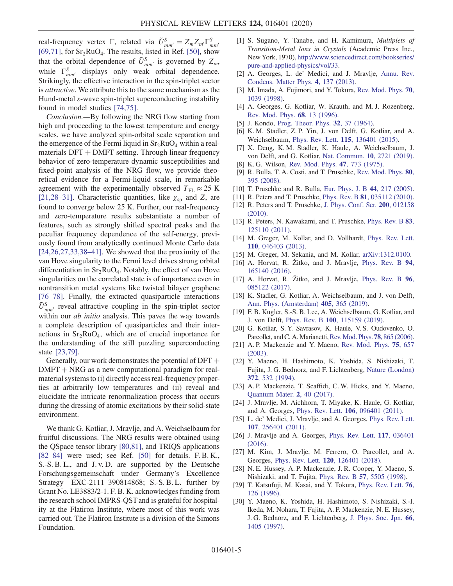real-frequency vertex  $\Gamma$ , related via  $\tilde{U}_{mm'}^S = Z_m Z_{m'} \Gamma_n^S$ <br>[60.711 for Sr-RuO]. The results listed in Ref. [50], sho [\[69,71\]](#page-5-12), for  $Sr_2RuO_4$ . The results, listed in Ref. [\[50\],](#page-5-5) show that the orbital dependence of  $\tilde{U}_{mm'}^S$  is governed by  $Z_m$ ,<br>while  $\Gamma^S$  displays only weak orbital dependence while  $\Gamma_{mm'}^S$  displays only weak orbital dependence.<br>Strikingly the effective interaction in the spin-triplet sector Strikingly, the effective interaction in the spin-triplet sector is attractive. We attribute this to the same mechanism as the Hund-metal s-wave spin-triplet superconducting instability found in model studies [\[74,75\]](#page-5-13).

Conclusion.—By following the NRG flow starting from high and proceeding to the lowest temperature and energy scales, we have analyzed spin-orbital scale separation and the emergence of the Fermi liquid in  $Sr<sub>2</sub>RuO<sub>4</sub>$  within a realmaterials  $DFT + DMFT$  setting. Through linear frequency behavior of zero-temperature dynamic susceptibilities and fixed-point analysis of the NRG flow, we provide theoretical evidence for a Fermi-liquid scale, in remarkable agreement with the experimentally observed  $T_{\text{FL}} \approx 25$  K [\[21,28](#page-4-9)–31]. Characteristic quantities, like  $\chi_{sp}$  and Z, are found to converge below 25 K. Further, our real-frequency and zero-temperature results substantiate a number of features, such as strongly shifted spectral peaks and the peculiar frequency dependence of the self-energy, previously found from analytically continued Monte Carlo data  $[24,26,27,33,38-41]$  $[24,26,27,33,38-41]$ . We showed that the proximity of the van Hove singularity to the Fermi level drives strong orbital differentiation in  $Sr_2RuO_4$ . Notably, the effect of van Hove singularities on the correlated state is of importance even in nontransition metal systems like twisted bilayer graphene [\[76](#page-5-14)–78]. Finally, the extracted quasiparticle interactions  $\tilde{U}_{mm'}^S$  reveal attractive coupling in the spin-triplet sector<br>within our *ah initio* analysis. This payes the way towards within our *ab initio* analysis. This paves the way towards a complete description of quasiparticles and their interactions in  $Sr<sub>2</sub>RuO<sub>4</sub>$ , which are of crucial importance for the understanding of the still puzzling superconducting state [\[23,79\].](#page-4-14)

Generally, our work demonstrates the potential of  $DFT +$  $DMFT + NRG$  as a new computational paradigm for realmaterial systems to (i) directly access real-frequency properties at arbitrarily low temperatures and (ii) reveal and elucidate the intricate renormalization process that occurs during the dressing of atomic excitations by their solid-state environment.

We thank G. Kotliar, J. Mravlje, and A. Weichselbaum for fruitful discussions. The NRG results were obtained using the QSpace tensor library [\[80,81\],](#page-6-0) and TRIQS applications [82–[84\]](#page-6-1) were used; see Ref. [\[50\]](#page-5-5) for details. F. B. K., S.-S. B. L., and J. v. D. are supported by the Deutsche Forschungsgemeinschaft under Germany's Excellence Strategy—EXC-2111–390814868; S.-S. B. L. further by Grant No. LE3883/2-1. F. B. K. acknowledges funding from the research school IMPRS-QST and is grateful for hospitality at the Flatiron Institute, where most of this work was carried out. The Flatiron Institute is a division of the Simons Foundation.

- <span id="page-4-0"></span>[1] S. Sugano, Y. Tanabe, and H. Kamimura, Multiplets of Transition-Metal Ions in Crystals (Academic Press Inc., New York, 1970), [http://www.sciencedirect.com/bookseries/](http://www.sciencedirect.com/bookseries/pure-and-applied-physics/vol/33) [pure-and-applied-physics/vol/33](http://www.sciencedirect.com/bookseries/pure-and-applied-physics/vol/33).
- <span id="page-4-11"></span>[2] A. Georges, L. de' Medici, and J. Mravlje, [Annu. Rev.](https://doi.org/10.1146/annurev-conmatphys-020911-125045) [Condens. Matter Phys.](https://doi.org/10.1146/annurev-conmatphys-020911-125045) 4, 137 (2013).
- <span id="page-4-1"></span>[3] M. Imada, A. Fujimori, and Y. Tokura, [Rev. Mod. Phys.](https://doi.org/10.1103/RevModPhys.70.1039) **70**, [1039 \(1998\)](https://doi.org/10.1103/RevModPhys.70.1039).
- <span id="page-4-2"></span>[4] A. Georges, G. Kotliar, W. Krauth, and M. J. Rozenberg, [Rev. Mod. Phys.](https://doi.org/10.1103/RevModPhys.68.13) 68, 13 (1996).
- <span id="page-4-3"></span>[5] J. Kondo, [Prog. Theor. Phys.](https://doi.org/10.1143/PTP.32.37) 32, 37 (1964).
- <span id="page-4-4"></span>[6] K. M. Stadler, Z. P. Yin, J. von Delft, G. Kotliar, and A. Weichselbaum, Phys. Rev. Lett. 115[, 136401 \(2015\).](https://doi.org/10.1103/PhysRevLett.115.136401)
- <span id="page-4-13"></span>[7] X. Deng, K. M. Stadler, K. Haule, A. Weichselbaum, J. von Delft, and G. Kotliar, [Nat. Commun.](https://doi.org/10.1038/s41467-019-10257-2) 10, 2721 (2019).
- <span id="page-4-6"></span><span id="page-4-5"></span>[8] K. G. Wilson, [Rev. Mod. Phys.](https://doi.org/10.1103/RevModPhys.47.773) 47, 773 (1975).
- [9] R. Bulla, T. A. Costi, and T. Pruschke, [Rev. Mod. Phys.](https://doi.org/10.1103/RevModPhys.80.395) 80, [395 \(2008\)](https://doi.org/10.1103/RevModPhys.80.395).
- <span id="page-4-7"></span>[10] T. Pruschke and R. Bulla, [Eur. Phys. J. B](https://doi.org/10.1140/epjb/e2005-00117-4) 44, 217 (2005).
- [11] R. Peters and T. Pruschke, Phys. Rev. B **81**[, 035112 \(2010\).](https://doi.org/10.1103/PhysRevB.81.035112)
- [12] R. Peters and T. Pruschke, [J. Phys. Conf. Ser.](https://doi.org/10.1088/1742-6596/200/1/012158) 200, 012158 [\(2010\).](https://doi.org/10.1088/1742-6596/200/1/012158)
- [13] R. Peters, N. Kawakami, and T. Pruschke, [Phys. Rev. B](https://doi.org/10.1103/PhysRevB.83.125110) 83, [125110 \(2011\).](https://doi.org/10.1103/PhysRevB.83.125110)
- [14] M. Greger, M. Kollar, and D. Vollhardt, [Phys. Rev. Lett.](https://doi.org/10.1103/PhysRevLett.110.046403) 110[, 046403 \(2013\).](https://doi.org/10.1103/PhysRevLett.110.046403)
- [15] M. Greger, M. Sekania, and M. Kollar, [arXiv:1312.0100](https://arXiv.org/abs/1312.0100).
- [16] A. Horvat, R. Žitko, and J. Mravlje, [Phys. Rev. B](https://doi.org/10.1103/PhysRevB.94.165140) 94, [165140 \(2016\).](https://doi.org/10.1103/PhysRevB.94.165140)
- [17] A. Horvat, R. Žitko, and J. Mravlje, [Phys. Rev. B](https://doi.org/10.1103/PhysRevB.96.085122) 96, [085122 \(2017\).](https://doi.org/10.1103/PhysRevB.96.085122)
- [18] K. Stadler, G. Kotliar, A. Weichselbaum, and J. von Delft, [Ann. Phys. \(Amsterdam\)](https://doi.org/10.1016/j.aop.2018.10.017) 405, 365 (2019).
- [19] F. B. Kugler, S.-S. B. Lee, A. Weichselbaum, G. Kotliar, and J. von Delft, Phys. Rev. B 100[, 115159 \(2019\)](https://doi.org/10.1103/PhysRevB.100.115159).
- <span id="page-4-8"></span>[20] G. Kotliar, S. Y. Savrasov, K. Haule, V. S. Oudovenko, O. Parcollet, and C. A. Marianetti, Rev. Mod. Phys. 78, 865 (2006).
- <span id="page-4-9"></span>[21] A. P. Mackenzie and Y. Maeno, [Rev. Mod. Phys.](https://doi.org/10.1103/RevModPhys.75.657) 75, 657 [\(2003\).](https://doi.org/10.1103/RevModPhys.75.657)
- <span id="page-4-10"></span>[22] Y. Maeno, H. Hashimoto, K. Yoshida, S. Nishizaki, T. Fujita, J. G. Bednorz, and F. Lichtenberg, [Nature \(London\)](https://doi.org/10.1038/372532a0) 372[, 532 \(1994\)](https://doi.org/10.1038/372532a0).
- <span id="page-4-14"></span>[23] A. P. Mackenzie, T. Scaffidi, C. W. Hicks, and Y. Maeno, [Quantum Mater.](https://doi.org/10.1038/s41535-017-0045-4) 2, 40 (2017).
- <span id="page-4-12"></span>[24] J. Mravlje, M. Aichhorn, T. Miyake, K. Haule, G. Kotliar, and A. Georges, Phys. Rev. Lett. 106[, 096401 \(2011\)](https://doi.org/10.1103/PhysRevLett.106.096401).
- [25] L. de' Medici, J. Mravlje, and A. Georges, [Phys. Rev. Lett.](https://doi.org/10.1103/PhysRevLett.107.256401) 107[, 256401 \(2011\).](https://doi.org/10.1103/PhysRevLett.107.256401)
- [26] J. Mravlje and A. Georges, [Phys. Rev. Lett.](https://doi.org/10.1103/PhysRevLett.117.036401) 117, 036401 [\(2016\).](https://doi.org/10.1103/PhysRevLett.117.036401)
- [27] M. Kim, J. Mravlje, M. Ferrero, O. Parcollet, and A. Georges, Phys. Rev. Lett. 120[, 126401 \(2018\).](https://doi.org/10.1103/PhysRevLett.120.126401)
- [28] N. E. Hussey, A. P. Mackenzie, J. R. Cooper, Y. Maeno, S. Nishizaki, and T. Fujita, Phys. Rev. B 57[, 5505 \(1998\).](https://doi.org/10.1103/PhysRevB.57.5505)
- [29] T. Katsufuji, M. Kasai, and Y. Tokura, [Phys. Rev. Lett.](https://doi.org/10.1103/PhysRevLett.76.126) 76, [126 \(1996\)](https://doi.org/10.1103/PhysRevLett.76.126).
- [30] Y. Maeno, K. Yoshida, H. Hashimoto, S. Nishizaki, S.-I. Ikeda, M. Nohara, T. Fujita, A. P. Mackenzie, N. E. Hussey, J. G. Bednorz, and F. Lichtenberg, [J. Phys. Soc. Jpn.](https://doi.org/10.1143/JPSJ.66.1405) 66, [1405 \(1997\)](https://doi.org/10.1143/JPSJ.66.1405).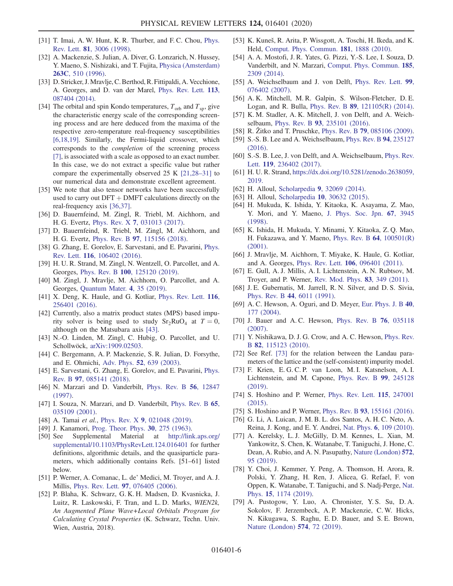- <span id="page-5-7"></span>[31] T. Imai, A. W. Hunt, K. R. Thurber, and F. C. Chou, [Phys.](https://doi.org/10.1103/PhysRevLett.81.3006) Rev. Lett. 81[, 3006 \(1998\)](https://doi.org/10.1103/PhysRevLett.81.3006).
- [32] A. Mackenzie, S. Julian, A. Diver, G. Lonzarich, N. Hussey, Y. Maeno, S. Nishizaki, and T. Fujita, [Physica \(Amsterdam\)](https://doi.org/10.1016/0921-4534(95)00770-9) 263C[, 510 \(1996\)](https://doi.org/10.1016/0921-4534(95)00770-9).
- <span id="page-5-11"></span>[33] D. Stricker, J.Mravlje, C. Berthod, R. Fittipaldi, A. Vecchione, A. Georges, and D. van der Marel, [Phys. Rev. Lett.](https://doi.org/10.1103/PhysRevLett.113.087404) 113, [087404 \(2014\)](https://doi.org/10.1103/PhysRevLett.113.087404).
- <span id="page-5-0"></span>[34] The orbital and spin Kondo temperatures,  $T_{\rm orb}$  and  $T_{\rm sn}$ , give the characteristic energy scale of the corresponding screening process and are here deduced from the maxima of the respective zero-temperature real-frequency susceptibilities [\[6,18,19\]](#page-4-4). Similarly, the Fermi-liquid crossover, which corresponds to the completion of the screening process [\[7\],](#page-4-13) is associated with a scale as opposed to an exact number. In this case, we do not extract a specific value but rather compare the experimentally observed 25 K [\[21,28](#page-4-9)–31] to our numerical data and demonstrate excellent agreement.
- <span id="page-5-1"></span>[35] We note that also tensor networks have been successfully used to carry out  $DFT + DMFT$  calculations directly on the real-frequency axis [\[36,37\].](#page-5-15)
- <span id="page-5-15"></span>[36] D. Bauernfeind, M. Zingl, R. Triebl, M. Aichhorn, and H. G. Evertz, Phys. Rev. X 7[, 031013 \(2017\)](https://doi.org/10.1103/PhysRevX.7.031013).
- [37] D. Bauernfeind, R. Triebl, M. Zingl, M. Aichhorn, and H. G. Evertz, Phys. Rev. B 97[, 115156 \(2018\).](https://doi.org/10.1103/PhysRevB.97.115156)
- [38] G. Zhang, E. Gorelov, E. Sarvestani, and E. Pavarini, [Phys.](https://doi.org/10.1103/PhysRevLett.116.106402) Rev. Lett. 116[, 106402 \(2016\).](https://doi.org/10.1103/PhysRevLett.116.106402)
- <span id="page-5-4"></span>[39] H. U. R. Strand, M. Zingl, N. Wentzell, O. Parcollet, and A. Georges, Phys. Rev. B 100[, 125120 \(2019\).](https://doi.org/10.1103/PhysRevB.100.125120)
- [40] M. Zingl, J. Mravlje, M. Aichhorn, O. Parcollet, and A. Georges, [Quantum Mater.](https://doi.org/10.1038/s41535-019-0175-y) 4, 35 (2019).
- [41] X. Deng, K. Haule, and G. Kotliar, [Phys. Rev. Lett.](https://doi.org/10.1103/PhysRevLett.116.256401) 116, [256401 \(2016\).](https://doi.org/10.1103/PhysRevLett.116.256401)
- <span id="page-5-2"></span>[42] Currently, also a matrix product states (MPS) based impurity solver is being used to study  $Sr<sub>2</sub>RuO<sub>4</sub>$  at  $T = 0$ , although on the Matsubara axis [\[43\].](#page-5-16)
- <span id="page-5-16"></span>[43] N.-O. Linden, M. Zingl, C. Hubig, O. Parcollet, and U. Schollwöck, [arXiv:1909.02503.](https://arXiv.org/abs/1909.02503)
- [44] C. Bergemann, A. P. Mackenzie, S. R. Julian, D. Forsythe, and E. Ohmichi, Adv. Phys. 52[, 639 \(2003\)](https://doi.org/10.1080/00018730310001621737).
- [45] E. Sarvestani, G. Zhang, E. Gorelov, and E. Pavarini, [Phys.](https://doi.org/10.1103/PhysRevB.97.085141) Rev. B 97[, 085141 \(2018\).](https://doi.org/10.1103/PhysRevB.97.085141)
- <span id="page-5-3"></span>[46] N. Marzari and D. Vanderbilt, [Phys. Rev. B](https://doi.org/10.1103/PhysRevB.56.12847) 56, 12847 [\(1997\).](https://doi.org/10.1103/PhysRevB.56.12847)
- [47] I. Souza, N. Marzari, and D. Vanderbilt, [Phys. Rev. B](https://doi.org/10.1103/PhysRevB.65.035109) 65, [035109 \(2001\).](https://doi.org/10.1103/PhysRevB.65.035109)
- [48] A. Tamai et al., Phys. Rev. X 9[, 021048 \(2019\)](https://doi.org/10.1103/PhysRevX.9.021048).
- <span id="page-5-5"></span>[49] J. Kanamori, [Prog. Theor. Phys.](https://doi.org/10.1143/PTP.30.275) 30, 275 (1963).
- [50] See Supplemental Material at [http://link.aps.org/](http://link.aps.org/supplemental/10.1103/PhysRevLett.124.016401) [supplemental/10.1103/PhysRevLett.124.016401](http://link.aps.org/supplemental/10.1103/PhysRevLett.124.016401) for further definitions, algorithmic details, and the quasiparticle parameters, which additionally contains Refs. [51–61] listed below.
- [51] P. Werner, A. Comanac, L. de' Medici, M. Troyer, and A. J. Millis, Phys. Rev. Lett. 97[, 076405 \(2006\)](https://doi.org/10.1103/PhysRevLett.97.076405).
- [52] P. Blaha, K. Schwarz, G. K. H. Madsen, D. Kvasnicka, J. Luitz, R. Laskowski, F. Tran, and L. D. Marks, WIEN2k, An Augmented Plane Wave+Local Orbitals Program for Calculating Crystal Properties (K. Schwarz, Techn. Univ. Wien, Austria, 2018).
- [53] K. Kuneš, R. Arita, P. Wissgott, A. Toschi, H. Ikeda, and K. Held, [Comput. Phys. Commun.](https://doi.org/10.1016/j.cpc.2010.08.005) 181, 1888 (2010).
- [54] A. A. Mostofi, J. R. Yates, G. Pizzi, Y.-S. Lee, I. Souza, D. Vanderbilt, and N. Marzari, [Comput. Phys. Commun.](https://doi.org/10.1016/j.cpc.2014.05.003) 185, [2309 \(2014\)](https://doi.org/10.1016/j.cpc.2014.05.003).
- [55] A. Weichselbaum and J. von Delft, [Phys. Rev. Lett.](https://doi.org/10.1103/PhysRevLett.99.076402) 99, [076402 \(2007\).](https://doi.org/10.1103/PhysRevLett.99.076402)
- [56] A. K. Mitchell, M. R. Galpin, S. Wilson-Fletcher, D. E. Logan, and R. Bulla, Phys. Rev. B 89[, 121105\(R\) \(2014\).](https://doi.org/10.1103/PhysRevB.89.121105)
- [57] K. M. Stadler, A. K. Mitchell, J. von Delft, and A. Weichselbaum, Phys. Rev. B 93[, 235101 \(2016\)](https://doi.org/10.1103/PhysRevB.93.235101).
- [58] R. Žitko and T. Pruschke, Phys. Rev. B 79[, 085106 \(2009\).](https://doi.org/10.1103/PhysRevB.79.085106)
- [59] S.-S. B. Lee and A. Weichselbaum, [Phys. Rev. B](https://doi.org/10.1103/PhysRevB.94.235127) 94, 235127 [\(2016\).](https://doi.org/10.1103/PhysRevB.94.235127)
- [60] S.-S. B. Lee, J. von Delft, and A. Weichselbaum, [Phys. Rev.](https://doi.org/10.1103/PhysRevLett.119.236402) Lett. 119[, 236402 \(2017\)](https://doi.org/10.1103/PhysRevLett.119.236402).
- [61] H. U. R. Strand, [https://dx.doi.org/10.5281/zenodo.2638059,](https://dx.doi.org/10.5281/zenodo.2638059) [2019.](https://dx.doi.org/10.5281/zenodo.2638059)
- <span id="page-5-6"></span>[62] H. Alloul, Scholarpedia 9[, 32069 \(2014\)](https://doi.org/10.4249/scholarpedia.32069).
- [63] H. Alloul, Scholarpedia **10**[, 30632 \(2015\)](https://doi.org/10.4249/scholarpedia.30632).
- [64] H. Mukuda, K. Ishida, Y. Kitaoka, K. Asayama, Z. Mao, Y. Mori, and Y. Maeno, [J. Phys. Soc. Jpn.](https://doi.org/10.1143/JPSJ.67.3945) 67, 3945 [\(1998\).](https://doi.org/10.1143/JPSJ.67.3945)
- [65] K. Ishida, H. Mukuda, Y. Minami, Y. Kitaoka, Z. Q. Mao, H. Fukazawa, and Y. Maeno, [Phys. Rev. B](https://doi.org/10.1103/PhysRevB.64.100501) 64, 100501(R) [\(2001\).](https://doi.org/10.1103/PhysRevB.64.100501)
- <span id="page-5-8"></span>[66] J. Mravlje, M. Aichhorn, T. Miyake, K. Haule, G. Kotliar, and A. Georges, Phys. Rev. Lett. 106[, 096401 \(2011\)](https://doi.org/10.1103/PhysRevLett.106.096401).
- <span id="page-5-9"></span>[67] E. Gull, A. J. Millis, A. I. Lichtenstein, A. N. Rubtsov, M. Troyer, and P. Werner, [Rev. Mod. Phys.](https://doi.org/10.1103/RevModPhys.83.349) 83, 349 (2011).
- <span id="page-5-10"></span>[68] J. E. Gubernatis, M. Jarrell, R. N. Silver, and D. S. Sivia, Phys. Rev. B 44[, 6011 \(1991\)](https://doi.org/10.1103/PhysRevB.44.6011).
- <span id="page-5-12"></span>[69] A. C. Hewson, A. Oguri, and D. Meyer, [Eur. Phys. J. B](https://doi.org/10.1140/epjb/e2004-00256-0) 40, [177 \(2004\)](https://doi.org/10.1140/epjb/e2004-00256-0).
- [70] J. Bauer and A. C. Hewson, [Phys. Rev. B](https://doi.org/10.1103/PhysRevB.76.035118) 76, 035118 [\(2007\).](https://doi.org/10.1103/PhysRevB.76.035118)
- [71] Y. Nishikawa, D. J. G. Crow, and A. C. Hewson, [Phys. Rev.](https://doi.org/10.1103/PhysRevB.82.115123) B 82[, 115123 \(2010\).](https://doi.org/10.1103/PhysRevB.82.115123)
- [72] See Ref. [\[73\]](#page-5-17) for the relation between the Landau parameters of the lattice and the (self-consistent) impurity model.
- <span id="page-5-17"></span>[73] F. Krien, E. G. C. P. van Loon, M. I. Katsnelson, A. I. Lichtenstein, and M. Capone, [Phys. Rev. B](https://doi.org/10.1103/PhysRevB.99.245128) 99, 245128 [\(2019\).](https://doi.org/10.1103/PhysRevB.99.245128)
- <span id="page-5-13"></span>[74] S. Hoshino and P. Werner, [Phys. Rev. Lett.](https://doi.org/10.1103/PhysRevLett.115.247001) 115, 247001 [\(2015\).](https://doi.org/10.1103/PhysRevLett.115.247001)
- <span id="page-5-14"></span>[75] S. Hoshino and P. Werner, Phys. Rev. B 93[, 155161 \(2016\).](https://doi.org/10.1103/PhysRevB.93.155161)
- [76] G. Li, A. Luican, J. M. B. L. dos Santos, A. H. C. Neto, A. Reina, J. Kong, and E. Y. Andrei, Nat. Phys. 6[, 109 \(2010\).](https://doi.org/10.1038/nphys1463)
- [77] A. Kerelsky, L. J. McGilly, D. M. Kennes, L. Xian, M. Yankowitz, S. Chen, K. Watanabe, T. Taniguchi, J. Hone, C. Dean, A. Rubio, and A. N. Pasupathy, [Nature \(London\)](https://doi.org/10.1038/s41586-019-1431-9) 572, [95 \(2019\).](https://doi.org/10.1038/s41586-019-1431-9)
- [78] Y. Choi, J. Kemmer, Y. Peng, A. Thomson, H. Arora, R. Polski, Y. Zhang, H. Ren, J. Alicea, G. Refael, F. von Oppen, K. Watanabe, T. Taniguchi, and S. Nadj-Perge, [Nat.](https://doi.org/10.1038/s41567-019-0606-5) Phys. 15[, 1174 \(2019\).](https://doi.org/10.1038/s41567-019-0606-5)
- [79] A. Pustogow, Y. Luo, A. Chronister, Y. S. Su, D. A. Sokolov, F. Jerzembeck, A. P. Mackenzie, C. W. Hicks, N. Kikugawa, S. Raghu, E. D. Bauer, and S. E. Brown, [Nature \(London\)](https://doi.org/10.1038/s41586-019-1596-2) 574, 72 (2019).